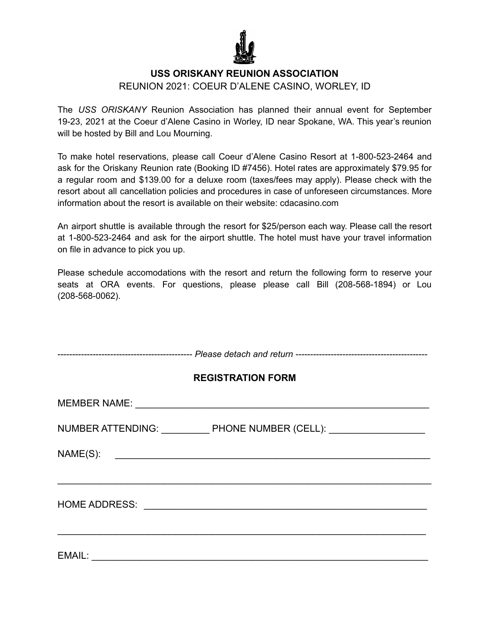

## **USS ORISKANY REUNION ASSOCIATION**

#### REUNION 2021: COEUR D'ALENE CASINO, WORLEY, ID

The *USS ORISKANY* Reunion Association has planned their annual event for September 19-23, 2021 at the Coeur d'Alene Casino in Worley, ID near Spokane, WA. This year's reunion will be hosted by Bill and Lou Mourning.

To make hotel reservations, please call Coeur d'Alene Casino Resort at 1-800-523-2464 and ask for the Oriskany Reunion rate (Booking ID #7456). Hotel rates are approximately \$79.95 for a regular room and \$139.00 for a deluxe room (taxes/fees may apply). Please check with the resort about all cancellation policies and procedures in case of unforeseen circumstances. More information about the resort is available on their website: cdacasino.com

An airport shuttle is available through the resort for \$25/person each way. Please call the resort at 1-800-523-2464 and ask for the airport shuttle. The hotel must have your travel information on file in advance to pick you up.

Please schedule accomodations with the resort and return the following form to reserve your seats at ORA events. For questions, please please call Bill (208-568-1894) or Lou (208-568-0062).

| <b>REGISTRATION FORM</b>                                                                                                          |  |  |
|-----------------------------------------------------------------------------------------------------------------------------------|--|--|
|                                                                                                                                   |  |  |
| NUMBER ATTENDING: ____________ PHONE NUMBER (CELL): ____________________________                                                  |  |  |
| NAME(S):<br><u> 1980 - Jan Stern Stern Stern Stern Stern Stern Stern Stern Stern Stern Stern Stern Stern Stern Stern Stern St</u> |  |  |
|                                                                                                                                   |  |  |
|                                                                                                                                   |  |  |
|                                                                                                                                   |  |  |
| EMAIL:                                                                                                                            |  |  |